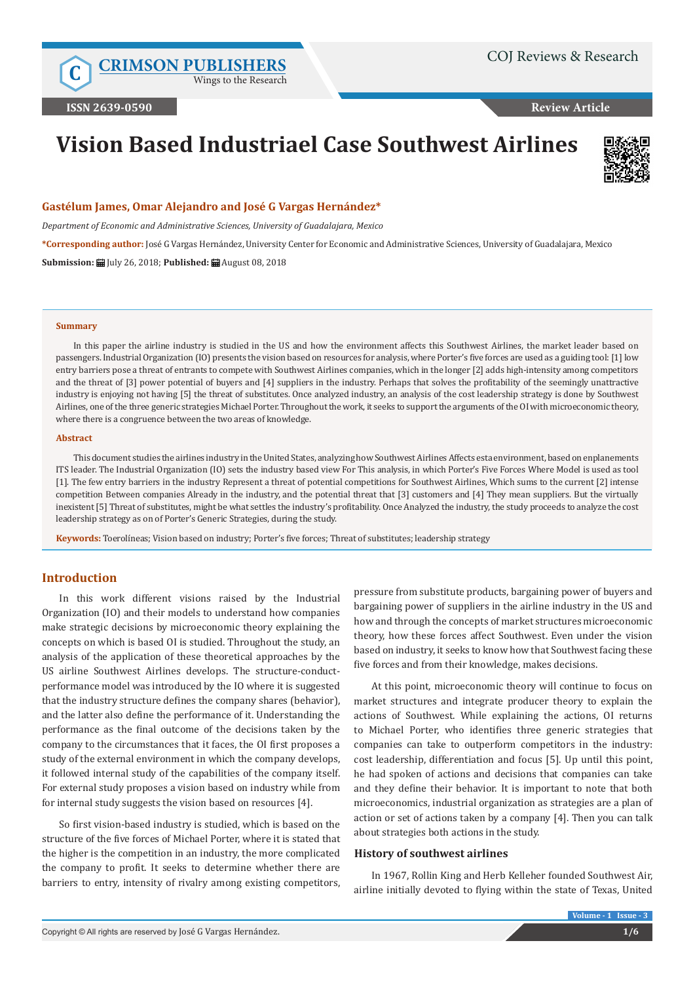**C [CRIMSON PUBLISHERS](http://crimsonpublishers.com/index.php)**

Wings to the Research

**Review Article**

# **Vision Based Industriael Case Southwest Airlines**



#### **Gastélum James, Omar Alejandro and José G Vargas Hernández\***

*Department of Economic and Administrative Sciences, University of Guadalajara, Mexico*

**\*Corresponding author:** José G Vargas Hernández, University Center for Economic and Administrative Sciences, University of Guadalajara, Mexico **Submission:** July 26, 2018; **Published:** August 08, 2018

#### **Summary**

In this paper the airline industry is studied in the US and how the environment affects this Southwest Airlines, the market leader based on passengers. Industrial Organization (IO) presents the vision based on resources for analysis, where Porter's five forces are used as a guiding tool: [1] low entry barriers pose a threat of entrants to compete with Southwest Airlines companies, which in the longer [2] adds high-intensity among competitors and the threat of [3] power potential of buyers and [4] suppliers in the industry. Perhaps that solves the profitability of the seemingly unattractive industry is enjoying not having [5] the threat of substitutes. Once analyzed industry, an analysis of the cost leadership strategy is done by Southwest Airlines, one of the three generic strategies Michael Porter. Throughout the work, it seeks to support the arguments of the OI with microeconomic theory, where there is a congruence between the two areas of knowledge.

#### **Abstract**

This document studies the airlines industry in the United States, analyzing how Southwest Airlines Affects esta environment, based on enplanements ITS leader. The Industrial Organization (IO) sets the industry based view For This analysis, in which Porter's Five Forces Where Model is used as tool [1]. The few entry barriers in the industry Represent a threat of potential competitions for Southwest Airlines, Which sums to the current [2] intense competition Between companies Already in the industry, and the potential threat that [3] customers and [4] They mean suppliers. But the virtually inexistent [5] Threat of substitutes, might be what settles the industry's profitability. Once Analyzed the industry, the study proceeds to analyze the cost leadership strategy as on of Porter's Generic Strategies, during the study.

**Keywords:** Toerolíneas; Vision based on industry; Porter's five forces; Threat of substitutes; leadership strategy

# **Introduction**

In this work different visions raised by the Industrial Organization (IO) and their models to understand how companies make strategic decisions by microeconomic theory explaining the concepts on which is based OI is studied. Throughout the study, an analysis of the application of these theoretical approaches by the US airline Southwest Airlines develops. The structure-conductperformance model was introduced by the IO where it is suggested that the industry structure defines the company shares (behavior), and the latter also define the performance of it. Understanding the performance as the final outcome of the decisions taken by the company to the circumstances that it faces, the OI first proposes a study of the external environment in which the company develops, it followed internal study of the capabilities of the company itself. For external study proposes a vision based on industry while from for internal study suggests the vision based on resources [4].

So first vision-based industry is studied, which is based on the structure of the five forces of Michael Porter, where it is stated that the higher is the competition in an industry, the more complicated the company to profit. It seeks to determine whether there are barriers to entry, intensity of rivalry among existing competitors, pressure from substitute products, bargaining power of buyers and bargaining power of suppliers in the airline industry in the US and how and through the concepts of market structures microeconomic theory, how these forces affect Southwest. Even under the vision based on industry, it seeks to know how that Southwest facing these five forces and from their knowledge, makes decisions.

At this point, microeconomic theory will continue to focus on market structures and integrate producer theory to explain the actions of Southwest. While explaining the actions, OI returns to Michael Porter, who identifies three generic strategies that companies can take to outperform competitors in the industry: cost leadership, differentiation and focus [5]. Up until this point, he had spoken of actions and decisions that companies can take and they define their behavior. It is important to note that both microeconomics, industrial organization as strategies are a plan of action or set of actions taken by a company [4]. Then you can talk about strategies both actions in the study.

#### **History of southwest airlines**

In 1967, Rollin King and Herb Kelleher founded Southwest Air, airline initially devoted to flying within the state of Texas, United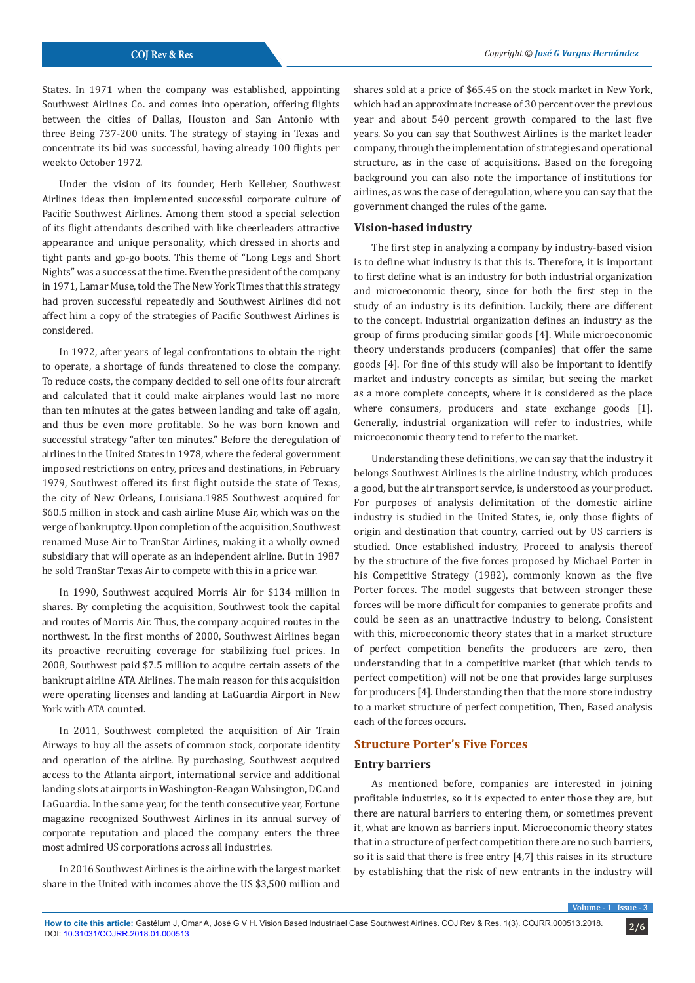States. In 1971 when the company was established, appointing Southwest Airlines Co. and comes into operation, offering flights between the cities of Dallas, Houston and San Antonio with three Being 737-200 units. The strategy of staying in Texas and concentrate its bid was successful, having already 100 flights per week to October 1972.

Under the vision of its founder, Herb Kelleher, Southwest Airlines ideas then implemented successful corporate culture of Pacific Southwest Airlines. Among them stood a special selection of its flight attendants described with like cheerleaders attractive appearance and unique personality, which dressed in shorts and tight pants and go-go boots. This theme of "Long Legs and Short Nights" was a success at the time. Even the president of the company in 1971, Lamar Muse, told the The New York Times that this strategy had proven successful repeatedly and Southwest Airlines did not affect him a copy of the strategies of Pacific Southwest Airlines is considered.

In 1972, after years of legal confrontations to obtain the right to operate, a shortage of funds threatened to close the company. To reduce costs, the company decided to sell one of its four aircraft and calculated that it could make airplanes would last no more than ten minutes at the gates between landing and take off again, and thus be even more profitable. So he was born known and successful strategy "after ten minutes." Before the deregulation of airlines in the United States in 1978, where the federal government imposed restrictions on entry, prices and destinations, in February 1979, Southwest offered its first flight outside the state of Texas, the city of New Orleans, Louisiana.1985 Southwest acquired for \$60.5 million in stock and cash airline Muse Air, which was on the verge of bankruptcy. Upon completion of the acquisition, Southwest renamed Muse Air to TranStar Airlines, making it a wholly owned subsidiary that will operate as an independent airline. But in 1987 he sold TranStar Texas Air to compete with this in a price war.

In 1990, Southwest acquired Morris Air for \$134 million in shares. By completing the acquisition, Southwest took the capital and routes of Morris Air. Thus, the company acquired routes in the northwest. In the first months of 2000, Southwest Airlines began its proactive recruiting coverage for stabilizing fuel prices. In 2008, Southwest paid \$7.5 million to acquire certain assets of the bankrupt airline ATA Airlines. The main reason for this acquisition were operating licenses and landing at LaGuardia Airport in New York with ATA counted.

In 2011, Southwest completed the acquisition of Air Train Airways to buy all the assets of common stock, corporate identity and operation of the airline. By purchasing, Southwest acquired access to the Atlanta airport, international service and additional landing slots at airports in Washington-Reagan Wahsington, DC and LaGuardia. In the same year, for the tenth consecutive year, Fortune magazine recognized Southwest Airlines in its annual survey of corporate reputation and placed the company enters the three most admired US corporations across all industries.

In 2016 Southwest Airlines is the airline with the largest market share in the United with incomes above the US \$3,500 million and

shares sold at a price of \$65.45 on the stock market in New York, which had an approximate increase of 30 percent over the previous year and about 540 percent growth compared to the last five years. So you can say that Southwest Airlines is the market leader company, through the implementation of strategies and operational structure, as in the case of acquisitions. Based on the foregoing background you can also note the importance of institutions for airlines, as was the case of deregulation, where you can say that the government changed the rules of the game.

#### **Vision-based industry**

The first step in analyzing a company by industry-based vision is to define what industry is that this is. Therefore, it is important to first define what is an industry for both industrial organization and microeconomic theory, since for both the first step in the study of an industry is its definition. Luckily, there are different to the concept. Industrial organization defines an industry as the group of firms producing similar goods [4]. While microeconomic theory understands producers (companies) that offer the same goods [4]. For fine of this study will also be important to identify market and industry concepts as similar, but seeing the market as a more complete concepts, where it is considered as the place where consumers, producers and state exchange goods [1]. Generally, industrial organization will refer to industries, while microeconomic theory tend to refer to the market.

Understanding these definitions, we can say that the industry it belongs Southwest Airlines is the airline industry, which produces a good, but the air transport service, is understood as your product. For purposes of analysis delimitation of the domestic airline industry is studied in the United States, ie, only those flights of origin and destination that country, carried out by US carriers is studied. Once established industry, Proceed to analysis thereof by the structure of the five forces proposed by Michael Porter in his Competitive Strategy (1982), commonly known as the five Porter forces. The model suggests that between stronger these forces will be more difficult for companies to generate profits and could be seen as an unattractive industry to belong. Consistent with this, microeconomic theory states that in a market structure of perfect competition benefits the producers are zero, then understanding that in a competitive market (that which tends to perfect competition) will not be one that provides large surpluses for producers [4]. Understanding then that the more store industry to a market structure of perfect competition, Then, Based analysis each of the forces occurs.

# **Structure Porter's Five Forces**

#### **Entry barriers**

As mentioned before, companies are interested in joining profitable industries, so it is expected to enter those they are, but there are natural barriers to entering them, or sometimes prevent it, what are known as barriers input. Microeconomic theory states that in a structure of perfect competition there are no such barriers, so it is said that there is free entry [4,7] this raises in its structure by establishing that the risk of new entrants in the industry will

**Volume - 1 Issue - 3**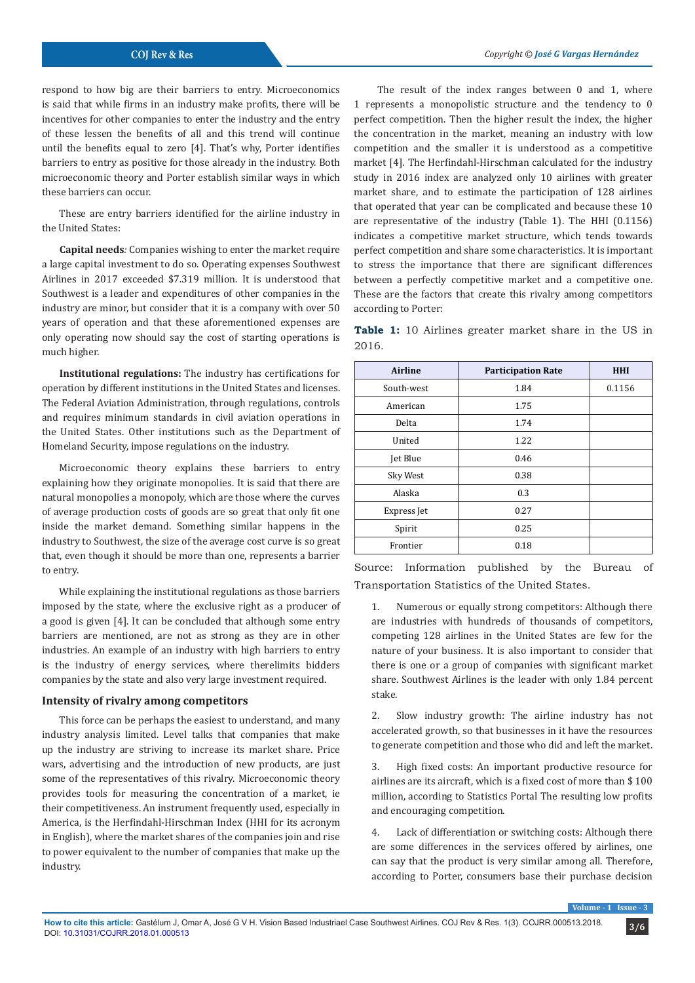respond to how big are their barriers to entry. Microeconomics is said that while firms in an industry make profits, there will be incentives for other companies to enter the industry and the entry of these lessen the benefits of all and this trend will continue until the benefits equal to zero [4]. That's why, Porter identifies barriers to entry as positive for those already in the industry. Both microeconomic theory and Porter establish similar ways in which these barriers can occur.

These are entry barriers identified for the airline industry in the United States:

**Capital needs***:* Companies wishing to enter the market require a large capital investment to do so. Operating expenses Southwest Airlines in 2017 exceeded \$7.319 million. It is understood that Southwest is a leader and expenditures of other companies in the industry are minor, but consider that it is a company with over 50 years of operation and that these aforementioned expenses are only operating now should say the cost of starting operations is much higher.

**Institutional regulations:** The industry has certifications for operation by different institutions in the United States and licenses. The Federal Aviation Administration, through regulations, controls and requires minimum standards in civil aviation operations in the United States. Other institutions such as the Department of Homeland Security, impose regulations on the industry.

Microeconomic theory explains these barriers to entry explaining how they originate monopolies. It is said that there are natural monopolies a monopoly, which are those where the curves of average production costs of goods are so great that only fit one inside the market demand. Something similar happens in the industry to Southwest, the size of the average cost curve is so great that, even though it should be more than one, represents a barrier to entry.

While explaining the institutional regulations as those barriers imposed by the state, where the exclusive right as a producer of a good is given [4]. It can be concluded that although some entry barriers are mentioned, are not as strong as they are in other industries. An example of an industry with high barriers to entry is the industry of energy services, where therelimits bidders companies by the state and also very large investment required.

### **Intensity of rivalry among competitors**

This force can be perhaps the easiest to understand, and many industry analysis limited. Level talks that companies that make up the industry are striving to increase its market share. Price wars, advertising and the introduction of new products, are just some of the representatives of this rivalry. Microeconomic theory provides tools for measuring the concentration of a market, ie their competitiveness. An instrument frequently used, especially in America, is the Herfindahl-Hirschman Index (HHI for its acronym in English), where the market shares of the companies join and rise to power equivalent to the number of companies that make up the industry.

 The result of the index ranges between 0 and 1, where 1 represents a monopolistic structure and the tendency to 0 perfect competition. Then the higher result the index, the higher the concentration in the market, meaning an industry with low competition and the smaller it is understood as a competitive market [4]. The Herfindahl-Hirschman calculated for the industry study in 2016 index are analyzed only 10 airlines with greater market share, and to estimate the participation of 128 airlines that operated that year can be complicated and because these 10 are representative of the industry (Table 1). The HHI (0.1156) indicates a competitive market structure, which tends towards perfect competition and share some characteristics. It is important to stress the importance that there are significant differences between a perfectly competitive market and a competitive one. These are the factors that create this rivalry among competitors according to Porter:

**Table 1:** 10 Airlines greater market share in the US in 2016.

| <b>Airline</b> | <b>Participation Rate</b> | <b>HHI</b> |
|----------------|---------------------------|------------|
| South-west     | 1.84                      | 0.1156     |
| American       | 1.75                      |            |
| Delta          | 1.74                      |            |
| United         | 1.22                      |            |
| Jet Blue       | 0.46                      |            |
| Sky West       | 0.38                      |            |
| Alaska         | 0.3                       |            |
| Express Jet    | 0.27                      |            |
| Spirit         | 0.25                      |            |
| Frontier       | 0.18                      |            |

Source: Information published by the Bureau of Transportation Statistics of the United States.

1. Numerous or equally strong competitors: Although there are industries with hundreds of thousands of competitors, competing 128 airlines in the United States are few for the nature of your business. It is also important to consider that there is one or a group of companies with significant market share. Southwest Airlines is the leader with only 1.84 percent stake.

2. Slow industry growth: The airline industry has not accelerated growth, so that businesses in it have the resources to generate competition and those who did and left the market.

3. High fixed costs: An important productive resource for airlines are its aircraft, which is a fixed cost of more than \$ 100 million, according to Statistics Portal The resulting low profits and encouraging competition.

4. Lack of differentiation or switching costs: Although there are some differences in the services offered by airlines, one can say that the product is very similar among all. Therefore, according to Porter, consumers base their purchase decision

**Volume**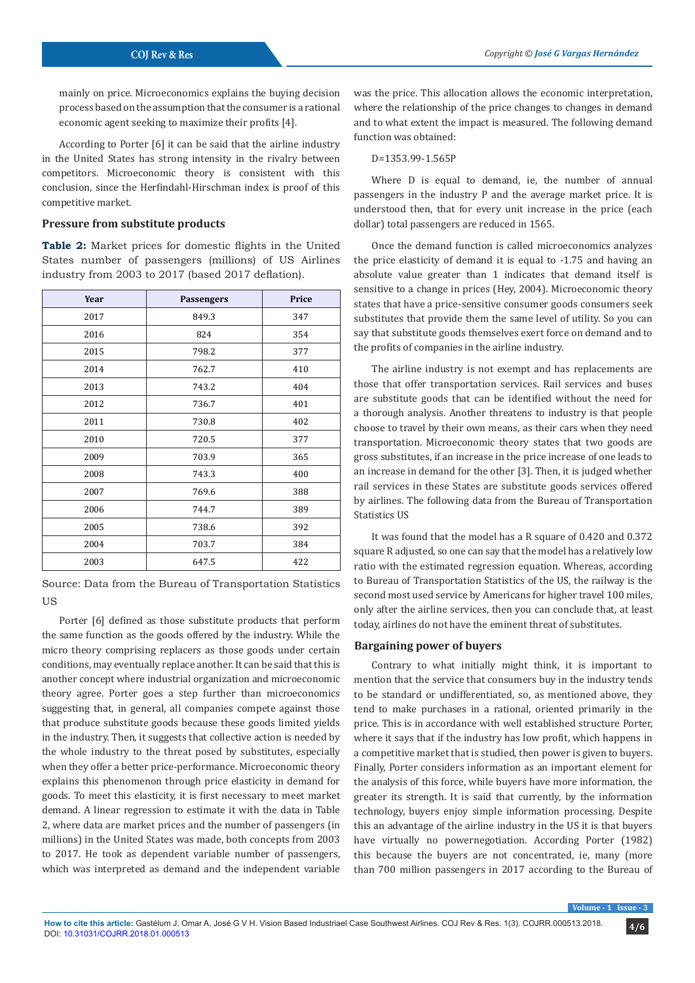mainly on price. Microeconomics explains the buying decision process based on the assumption that the consumer is a rational economic agent seeking to maximize their profits [4].

According to Porter [6] it can be said that the airline industry in the United States has strong intensity in the rivalry between competitors. Microeconomic theory is consistent with this conclusion, since the Herfindahl-Hirschman index is proof of this competitive market.

# **Pressure from substitute products**

**Table 2:** Market prices for domestic flights in the United States number of passengers (millions) of US Airlines industry from 2003 to 2017 (based 2017 deflation).

| Year | <b>Passengers</b> | Price |
|------|-------------------|-------|
| 2017 | 849.3             | 347   |
| 2016 | 824               | 354   |
| 2015 | 798.2             | 377   |
| 2014 | 762.7             | 410   |
| 2013 | 743.2             | 404   |
| 2012 | 736.7             | 401   |
| 2011 | 730.8             | 402   |
| 2010 | 720.5             | 377   |
| 2009 | 703.9             | 365   |
| 2008 | 743.3             | 400   |
| 2007 | 769.6             | 388   |
| 2006 | 744.7             | 389   |
| 2005 | 738.6             | 392   |
| 2004 | 703.7             | 384   |
| 2003 | 647.5             | 422   |

Source: Data from the Bureau of Transportation Statistics US

Porter [6] defined as those substitute products that perform the same function as the goods offered by the industry. While the micro theory comprising replacers as those goods under certain conditions, may eventually replace another. It can be said that this is another concept where industrial organization and microeconomic theory agree. Porter goes a step further than microeconomics suggesting that, in general, all companies compete against those that produce substitute goods because these goods limited yields in the industry. Then, it suggests that collective action is needed by the whole industry to the threat posed by substitutes, especially when they offer a better price-performance. Microeconomic theory explains this phenomenon through price elasticity in demand for goods. To meet this elasticity, it is first necessary to meet market demand. A linear regression to estimate it with the data in Table 2, where data are market prices and the number of passengers (in millions) in the United States was made, both concepts from 2003 to 2017. He took as dependent variable number of passengers, which was interpreted as demand and the independent variable

was the price. This allocation allows the economic interpretation, where the relationship of the price changes to changes in demand and to what extent the impact is measured. The following demand function was obtained:

D=1353.99-1.565P

Where D is equal to demand, ie, the number of annual passengers in the industry P and the average market price. It is understood then, that for every unit increase in the price (each dollar) total passengers are reduced in 1565.

Once the demand function is called microeconomics analyzes the price elasticity of demand it is equal to -1.75 and having an absolute value greater than 1 indicates that demand itself is sensitive to a change in prices (Hey, 2004). Microeconomic theory states that have a price-sensitive consumer goods consumers seek substitutes that provide them the same level of utility. So you can say that substitute goods themselves exert force on demand and to the profits of companies in the airline industry.

The airline industry is not exempt and has replacements are those that offer transportation services. Rail services and buses are substitute goods that can be identified without the need for a thorough analysis. Another threatens to industry is that people choose to travel by their own means, as their cars when they need transportation. Microeconomic theory states that two goods are gross substitutes, if an increase in the price increase of one leads to an increase in demand for the other [3]. Then, it is judged whether rail services in these States are substitute goods services offered by airlines. The following data from the Bureau of Transportation Statistics US

It was found that the model has a R square of 0.420 and 0.372 square R adjusted, so one can say that the model has a relatively low ratio with the estimated regression equation. Whereas, according to Bureau of Transportation Statistics of the US, the railway is the second most used service by Americans for higher travel 100 miles, only after the airline services, then you can conclude that, at least today, airlines do not have the eminent threat of substitutes.

#### **Bargaining power of buyers**

Contrary to what initially might think, it is important to mention that the service that consumers buy in the industry tends to be standard or undifferentiated, so, as mentioned above, they tend to make purchases in a rational, oriented primarily in the price. This is in accordance with well established structure Porter, where it says that if the industry has low profit, which happens in a competitive market that is studied, then power is given to buyers. Finally, Porter considers information as an important element for the analysis of this force, while buyers have more information, the greater its strength. It is said that currently, by the information technology, buyers enjoy simple information processing. Despite this an advantage of the airline industry in the US it is that buyers have virtually no powernegotiation. According Porter (1982) this because the buyers are not concentrated, ie, many (more than 700 million passengers in 2017 according to the Bureau of

**Volume - 1 Issue - 3**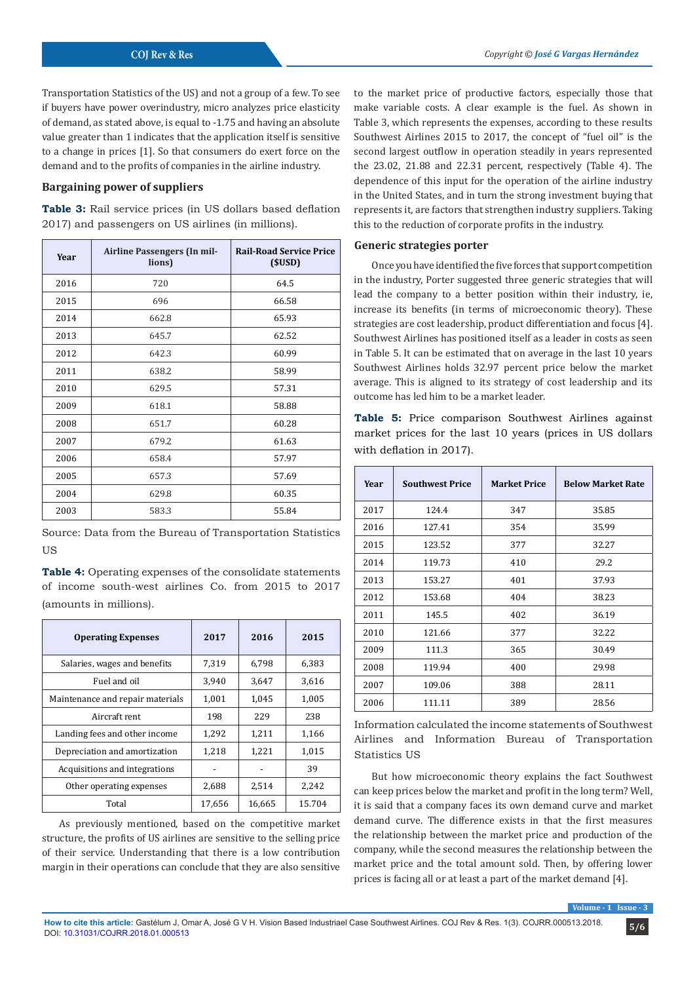Transportation Statistics of the US) and not a group of a few. To see if buyers have power overindustry, micro analyzes price elasticity of demand, as stated above, is equal to -1.75 and having an absolute value greater than 1 indicates that the application itself is sensitive to a change in prices [1]. So that consumers do exert force on the demand and to the profits of companies in the airline industry.

## **Bargaining power of suppliers**

**Table 3:** Rail service prices (in US dollars based deflation 2017) and passengers on US airlines (in millions).

| Year | Airline Passengers (In mil-<br>lions) | <b>Rail-Road Service Price</b><br>(SUSD) |
|------|---------------------------------------|------------------------------------------|
| 2016 | 720                                   | 64.5                                     |
| 2015 | 696                                   | 66.58                                    |
| 2014 | 662.8                                 | 65.93                                    |
| 2013 | 645.7                                 | 62.52                                    |
| 2012 | 642.3                                 | 60.99                                    |
| 2011 | 638.2                                 | 58.99                                    |
| 2010 | 629.5                                 | 57.31                                    |
| 2009 | 618.1                                 | 58.88                                    |
| 2008 | 651.7                                 | 60.28                                    |
| 2007 | 679.2                                 | 61.63                                    |
| 2006 | 658.4                                 | 57.97                                    |
| 2005 | 657.3                                 | 57.69                                    |
| 2004 | 629.8                                 | 60.35                                    |
| 2003 | 583.3                                 | 55.84                                    |

Source: Data from the Bureau of Transportation Statistics **US** 

**Table 4:** Operating expenses of the consolídate statements of income south-west airlines Co. from 2015 to 2017 (amounts in millions).

| <b>Operating Expenses</b>        | 2017   | 2016   | 2015   |
|----------------------------------|--------|--------|--------|
| Salaries, wages and benefits     | 7,319  | 6,798  | 6,383  |
| Fuel and oil                     | 3.940  | 3.647  | 3,616  |
| Maintenance and repair materials | 1,001  | 1.045  | 1,005  |
| Aircraft rent                    | 198    | 229    | 238    |
| Landing fees and other income    | 1,292  | 1,211  | 1,166  |
| Depreciation and amortization    | 1,218  | 1,221  | 1,015  |
| Acquisitions and integrations    |        |        | 39     |
| Other operating expenses         | 2,688  | 2,514  | 2.242  |
| Total                            | 17,656 | 16,665 | 15.704 |

As previously mentioned, based on the competitive market structure, the profits of US airlines are sensitive to the selling price of their service. Understanding that there is a low contribution margin in their operations can conclude that they are also sensitive

to the market price of productive factors, especially those that make variable costs. A clear example is the fuel. As shown in Table 3, which represents the expenses, according to these results Southwest Airlines 2015 to 2017, the concept of "fuel oil" is the second largest outflow in operation steadily in years represented the 23.02, 21.88 and 22.31 percent, respectively (Table 4). The dependence of this input for the operation of the airline industry in the United States, and in turn the strong investment buying that represents it, are factors that strengthen industry suppliers. Taking this to the reduction of corporate profits in the industry.

## **Generic strategies porter**

Once you have identified the five forces that support competition in the industry, Porter suggested three generic strategies that will lead the company to a better position within their industry, ie, increase its benefits (in terms of microeconomic theory). These strategies are cost leadership, product differentiation and focus [4]. Southwest Airlines has positioned itself as a leader in costs as seen in Table 5. It can be estimated that on average in the last 10 years Southwest Airlines holds 32.97 percent price below the market average. This is aligned to its strategy of cost leadership and its outcome has led him to be a market leader.

**Table 5:** Price comparison Southwest Airlines against market prices for the last 10 years (prices in US dollars with deflation in 2017).

| Year | <b>Southwest Price</b> | <b>Market Price</b> | <b>Below Market Rate</b> |
|------|------------------------|---------------------|--------------------------|
| 2017 | 124.4                  | 347                 | 35.85                    |
| 2016 | 127.41                 | 354                 | 35.99                    |
| 2015 | 123.52                 | 377                 | 32.27                    |
| 2014 | 119.73                 | 410                 | 29.2                     |
| 2013 | 153.27                 | 401                 | 37.93                    |
| 2012 | 153.68                 | 404                 | 38.23                    |
| 2011 | 145.5                  | 402                 | 36.19                    |
| 2010 | 121.66                 | 377                 | 32.22                    |
| 2009 | 111.3                  | 365                 | 30.49                    |
| 2008 | 119.94                 | 400                 | 29.98                    |
| 2007 | 109.06                 | 388                 | 28.11                    |
| 2006 | 111.11                 | 389                 | 28.56                    |

Information calculated the income statements of Southwest Airlines and Information Bureau of Transportation Statistics US

But how microeconomic theory explains the fact Southwest can keep prices below the market and profit in the long term? Well, it is said that a company faces its own demand curve and market demand curve. The difference exists in that the first measures the relationship between the market price and production of the company, while the second measures the relationship between the market price and the total amount sold. Then, by offering lower prices is facing all or at least a part of the market demand [4].

**Volume**